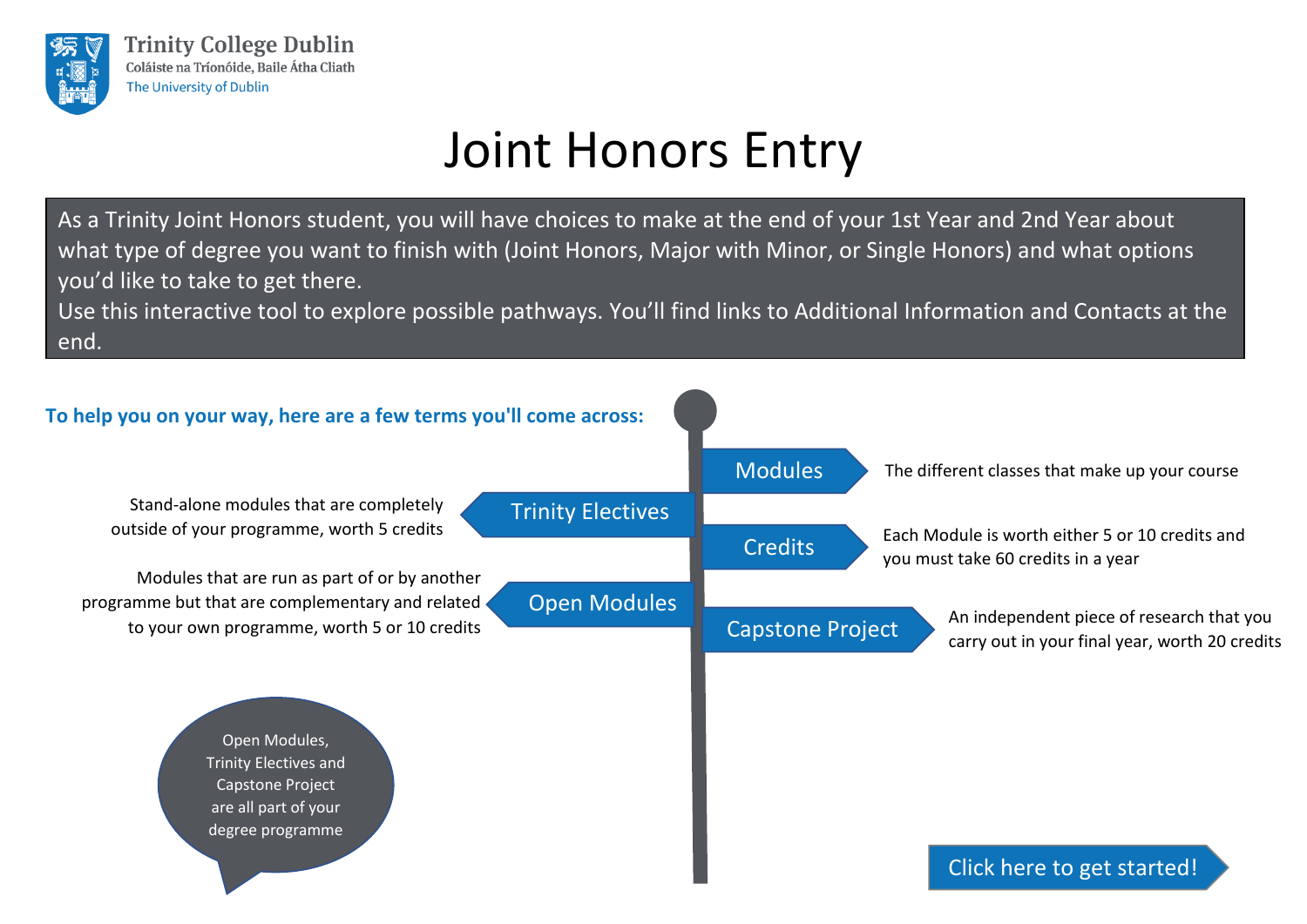<span id="page-0-0"></span>

### Joint Honors Entry

As a Trinity Joint Honors student, you will have choices to make at the end of your 1st Year and 2nd Year about what type of degree you want to finish with (Joint Honors, Major with Minor, or Single Honors) and what options you'd like to take to get there.

Use this interactive tool to explore possible pathways. You'll find links to Additional [Information](#page-10-0) and [Contacts](#page-10-0) at the end.

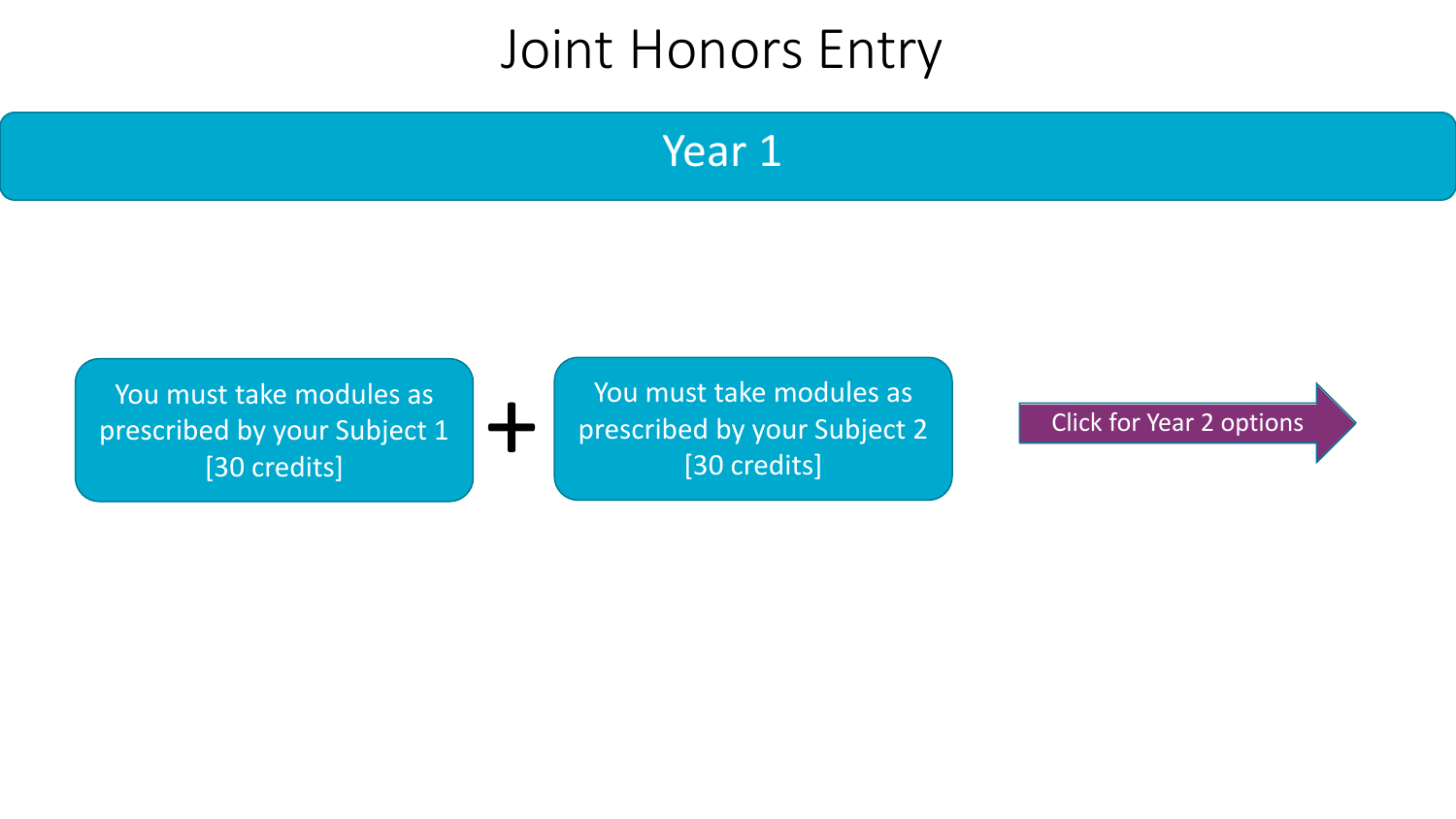### Joint Honors Entry

### Year 1

<span id="page-1-0"></span>You must take modules as prescribed by your Subject 1 [30 credits]

You must take modules as **prescribed by your Subject 2** [30 credits]

[Click for Year 2 options](#page-2-0)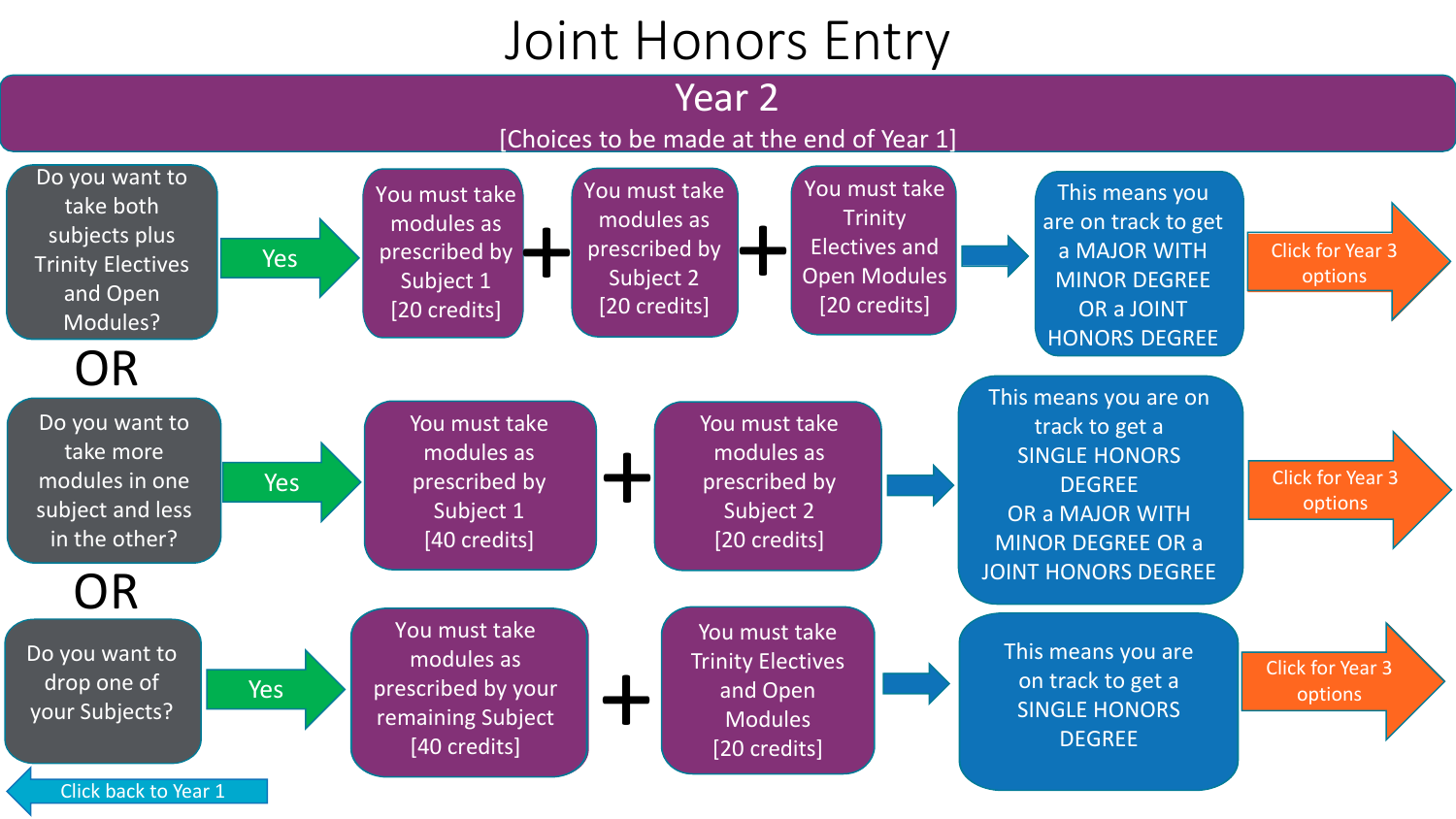# Joint Honors Entry

### Year 2

#### [Choices to be made at the end of Year 1]

<span id="page-2-0"></span>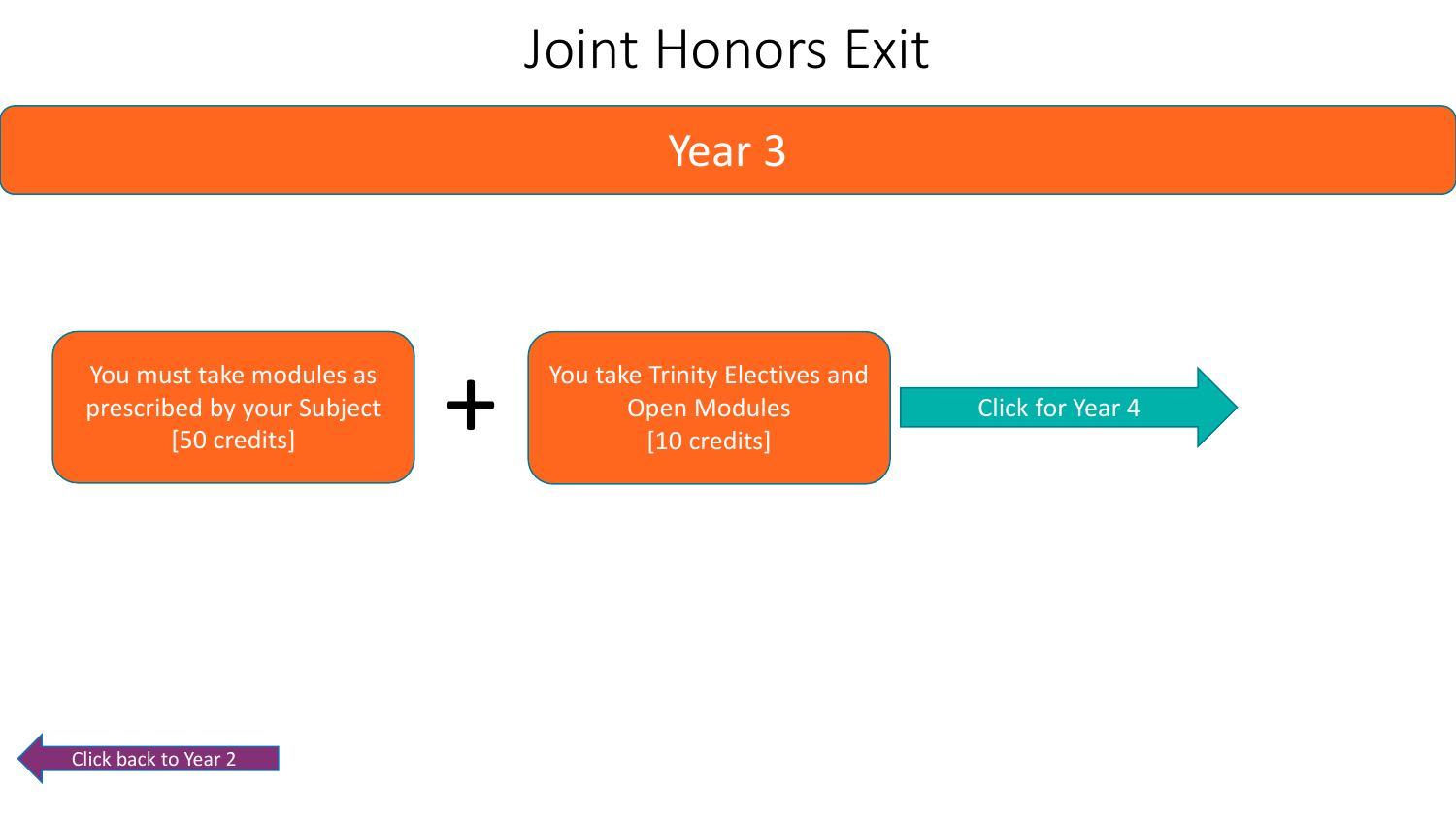Year 3

<span id="page-3-0"></span>

You take Trinity Electives and Open Modules [10 credits] St take modules as a contract the contract of the [Click for Year 4](#page-6-0)<br>[50 credits] The Click for Year 4<br>[50 credits] [10 credits]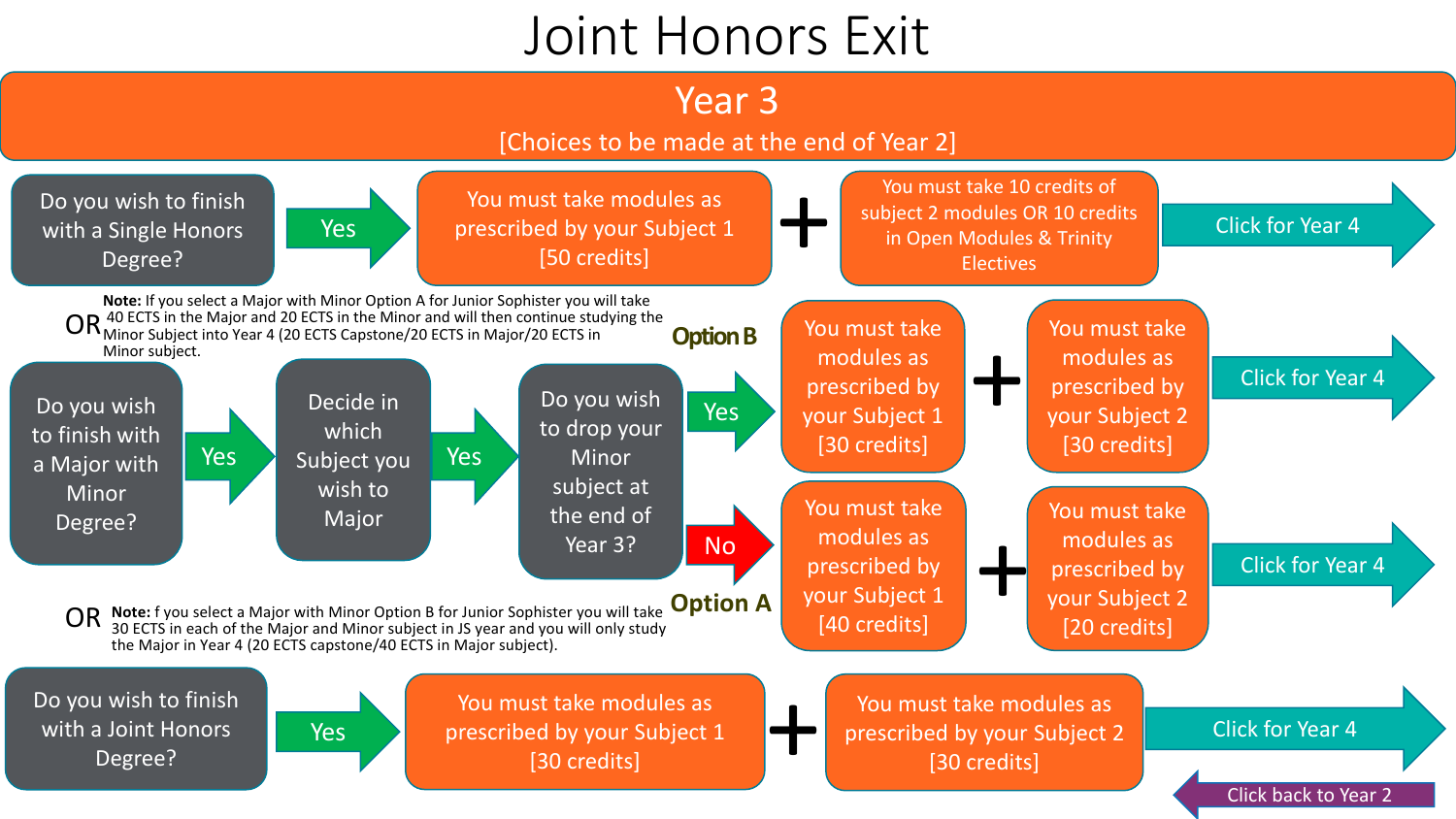### Year 3

#### [Choices to be made at the end of Year 2]

<span id="page-4-0"></span>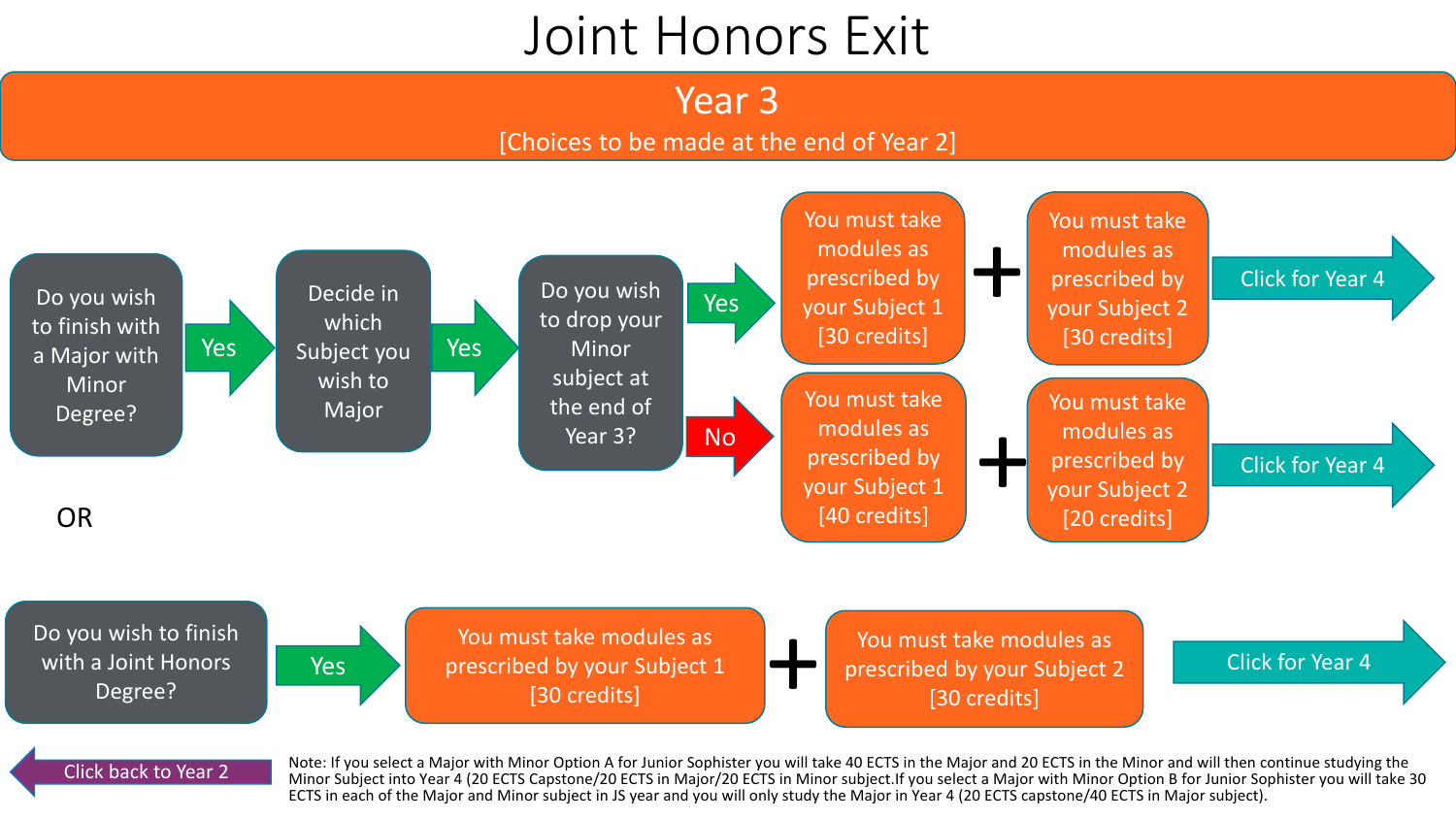Year 3

#### [Choices to be made at the end of Year 2]

<span id="page-5-0"></span>

[Click back to Year 2](#page-2-0)

Note: If you select a Major with Minor Option A for Junior Sophister you will take 40 ECTS in the Major and 20 ECTS in the Minor and will then continue studying the Minor Subject into Year 4 (20 ECTS Capstone/20 ECTS in Major/20 ECTS in Minor subject.If you select a Major with Minor Option B for Junior Sophister you will take 30 ECTS in each of the Major and Minor subject in JS year and you will only study the Major in Year 4 (20 ECTS capstone/40 ECTS in Major subject).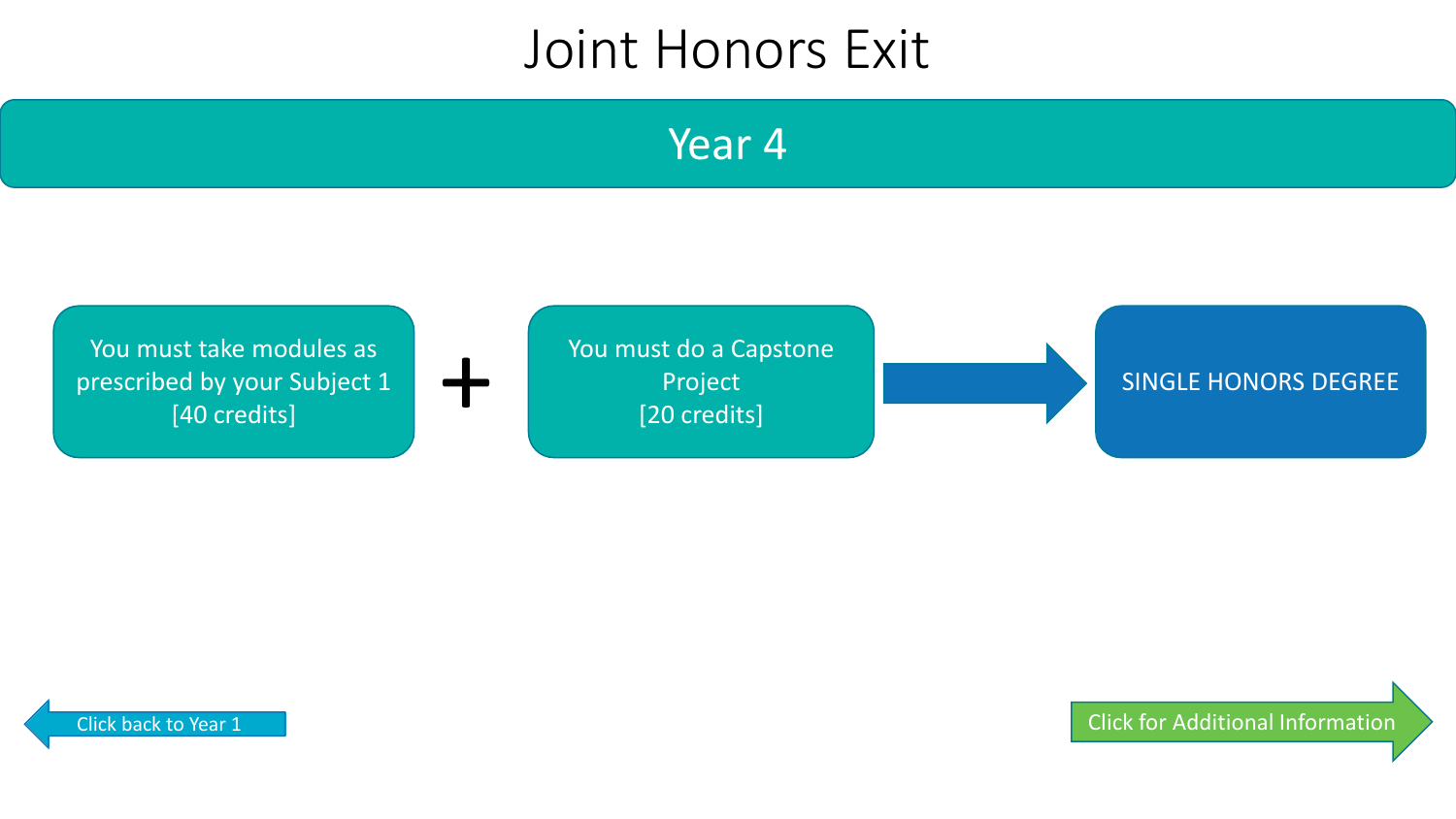Year 4

<span id="page-6-0"></span>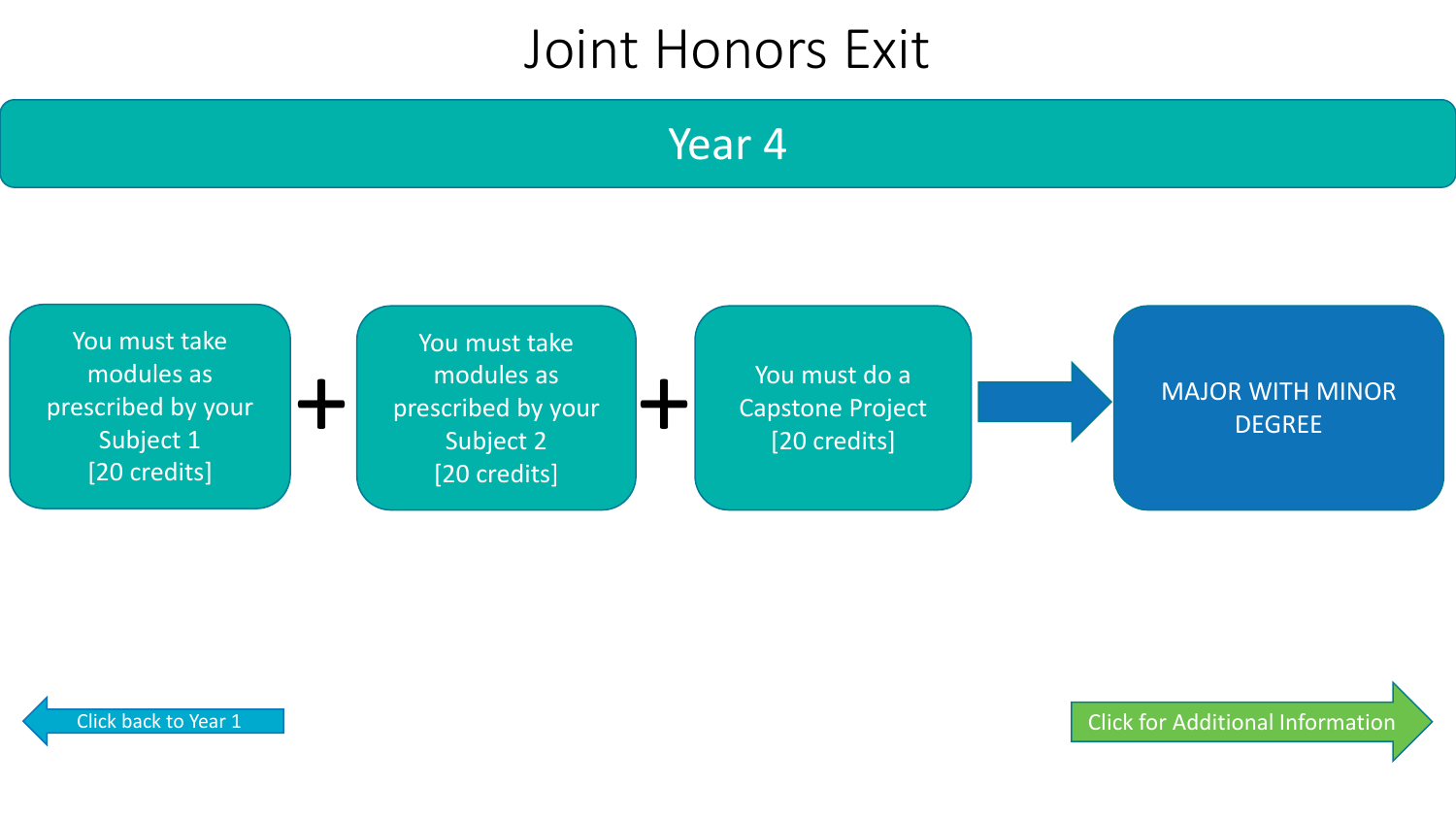Year 4

<span id="page-7-0"></span>

[Click back to Year 1](#page-1-0) [Click for Additional Information](#page-10-0)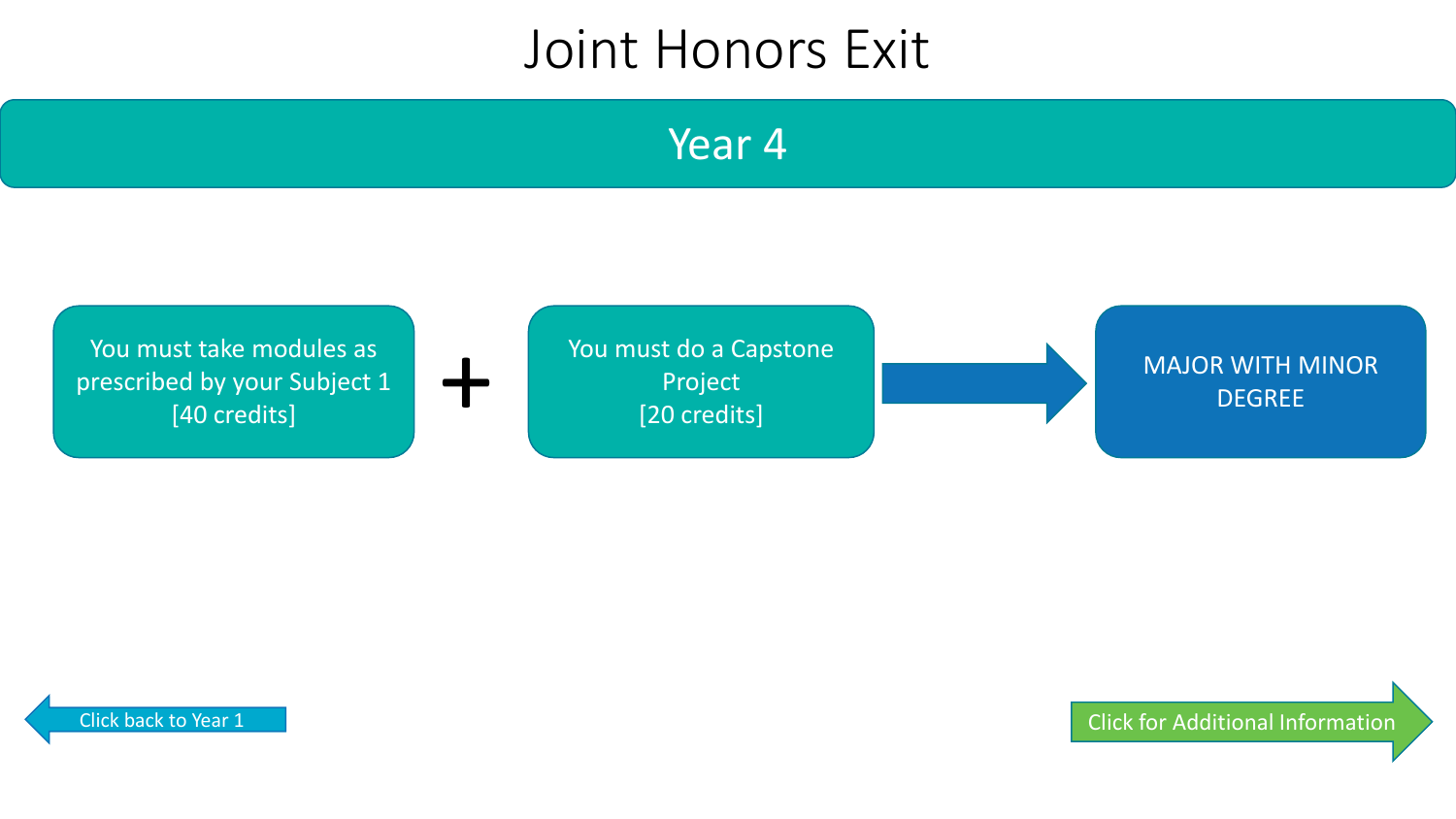Year 4

<span id="page-8-0"></span>

[Click back to Year 1](#page-1-0) [Click for Additional Information](#page-10-0)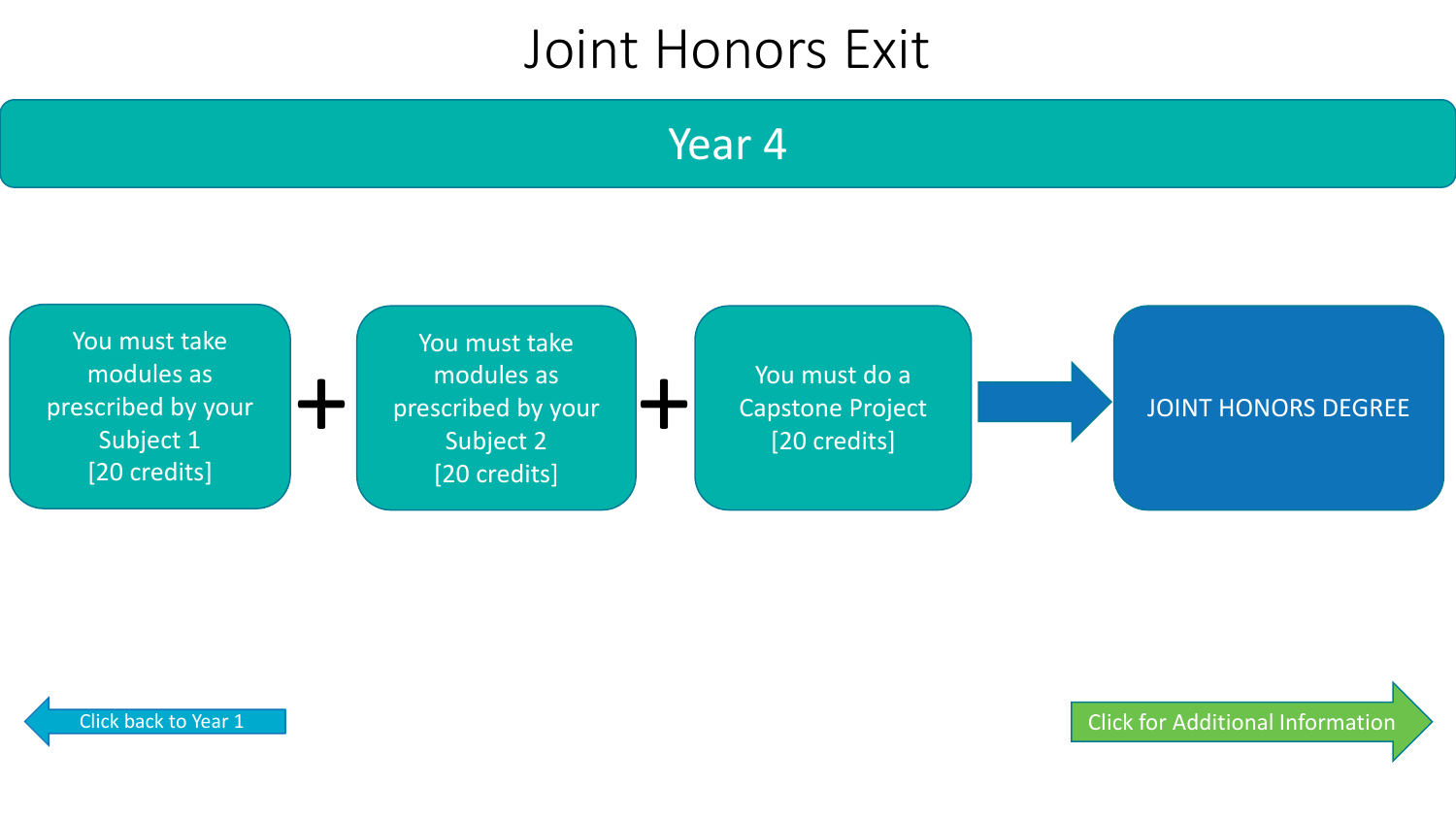Year 4

<span id="page-9-0"></span>

[Click back to Year 1](#page-1-0) [Click for Additional Information](#page-10-0)